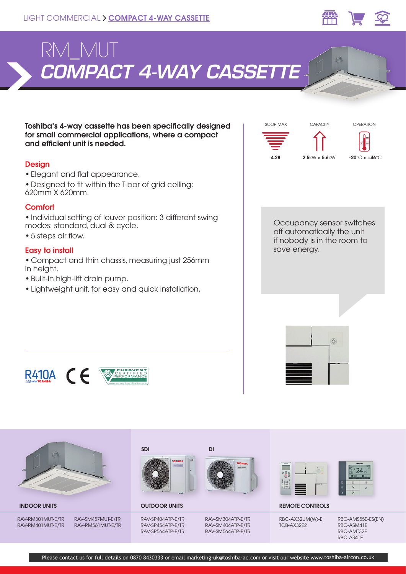



Toshiba's 4-way cassette has been specifically designed for small commercial applications, where a compact and efficient unit is needed.

### **Design**

- Elegant and flat appearance.
- Designed to fit within the T-bar of grid ceiling: 620mm X 620mm.

# **Comfort**

• Individual setting of louver position: 3 different swing modes: standard, dual & cycle.

• 5 steps air flow.

# Easy to install

• Compact and thin chassis, measuring just 256mm in height.

- Built-in high-lift drain pump.
- Lightweight unit, for easy and quick installation.